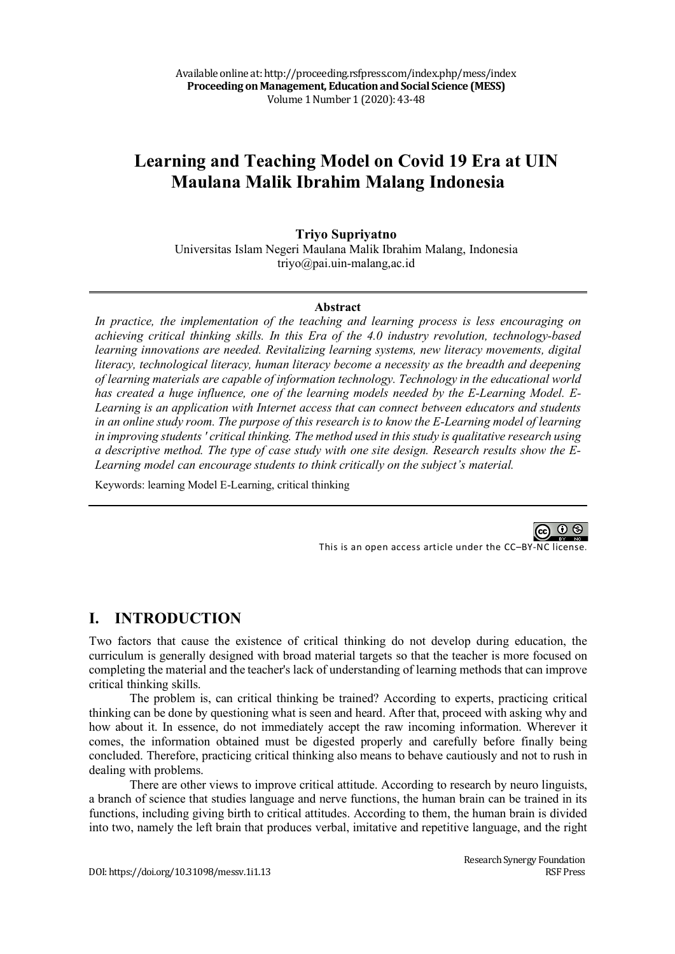# **Learning and Teaching Model on Covid 19 Era at UIN Maulana Malik Ibrahim Malang Indonesia**

**Triyo Supriyatno**

Universitas Islam Negeri Maulana Malik Ibrahim Malang, Indonesia triyo@pai.uin-malang,ac.id

#### **Abstract**

*In practice, the implementation of the teaching and learning process is less encouraging on achieving critical thinking skills. In this Era of the 4.0 industry revolution, technology-based learning innovations are needed. Revitalizing learning systems, new literacy movements, digital literacy, technological literacy, human literacy become a necessity as the breadth and deepening of learning materials are capable of information technology. Technology in the educational world has created a huge influence, one of the learning models needed by the E-Learning Model. E-Learning is an application with Internet access that can connect between educators and students in an online study room. The purpose of this research is to know the E-Learning model of learning in improving students ' critical thinking. The method used in this study is qualitative research using a descriptive method. The type of case study with one site design. Research results show the E-Learning model can encourage students to think critically on the subject's material.*

Keywords: learning Model E-Learning, critical thinking

@ 0 ⊛ This is an open access article under the CC–BY-NC license.

### **I. INTRODUCTION**

Two factors that cause the existence of critical thinking do not develop during education, the curriculum is generally designed with broad material targets so that the teacher is more focused on completing the material and the teacher's lack of understanding of learning methods that can improve critical thinking skills.

The problem is, can critical thinking be trained? According to experts, practicing critical thinking can be done by questioning what is seen and heard. After that, proceed with asking why and how about it. In essence, do not immediately accept the raw incoming information. Wherever it comes, the information obtained must be digested properly and carefully before finally being concluded. Therefore, practicing critical thinking also means to behave cautiously and not to rush in dealing with problems.

There are other views to improve critical attitude. According to research by neuro linguists, a branch of science that studies language and nerve functions, the human brain can be trained in its functions, including giving birth to critical attitudes. According to them, the human brain is divided into two, namely the left brain that produces verbal, imitative and repetitive language, and the right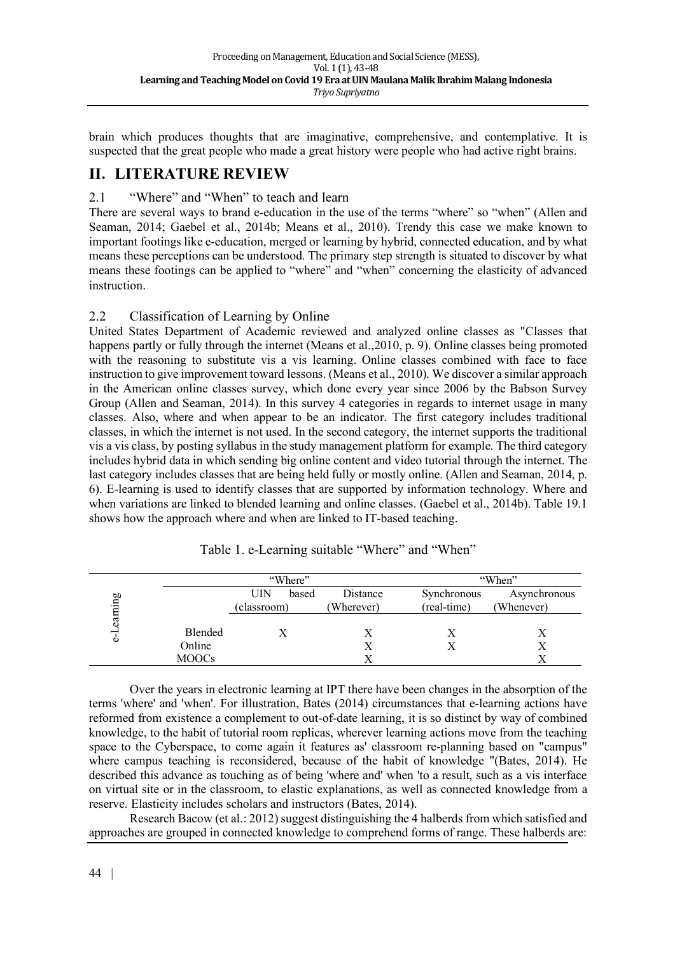brain which produces thoughts that are imaginative, comprehensive, and contemplative. It is suspected that the great people who made a great history were people who had active right brains.

### **II. LITERATURE REVIEW**

#### 2.1 "Where" and "When" to teach and learn

There are several ways to brand e-education in the use of the terms "where" so "when" (Allen and Seaman, 2014; Gaebel et al., 2014b; Means et al., 2010). Trendy this case we make known to important footings like e-education, merged or learning by hybrid, connected education, and by what means these perceptions can be understood. The primary step strength is situated to discover by what means these footings can be applied to "where" and "when" concerning the elasticity of advanced instruction.

#### 2.2 Classification of Learning by Online

United States Department of Academic reviewed and analyzed online classes as "Classes that happens partly or fully through the internet (Means et al.,2010, p. 9). Online classes being promoted with the reasoning to substitute vis a vis learning. Online classes combined with face to face instruction to give improvement toward lessons. (Means et al., 2010). We discover a similar approach in the American online classes survey, which done every year since 2006 by the Babson Survey Group (Allen and Seaman, 2014). In this survey 4 categories in regards to internet usage in many classes. Also, where and when appear to be an indicator. The first category includes traditional classes, in which the internet is not used. In the second category, the internet supports the traditional vis a vis class, by posting syllabus in the study management platform for example. The third category includes hybrid data in which sending big online content and video tutorial through the internet. The last category includes classes that are being held fully or mostly online. (Allen and Seaman, 2014, p. 6). E-learning is used to identify classes that are supported by information technology. Where and when variations are linked to blended learning and online classes. (Gaebel et al., 2014b). Table 19.1 shows how the approach where and when are linked to IT-based teaching.

|         |              | "Where"      |            |             | "When"       |  |
|---------|--------------|--------------|------------|-------------|--------------|--|
|         |              | UIN<br>based | Distance   | Synchronous | Asynchronous |  |
| earning |              | (classroom)  | (Wherever) | (real-time) | (Whenever)   |  |
|         |              |              |            |             |              |  |
| -       | Blended      |              |            |             |              |  |
| Ó       | Online       |              | X          |             | ∧            |  |
|         | <b>MOOCs</b> |              | v          |             |              |  |

Table 1. e-Learning suitable "Where" and "When"

Over the years in electronic learning at IPT there have been changes in the absorption of the terms 'where' and 'when'. For illustration, Bates (2014) circumstances that e-learning actions have reformed from existence a complement to out-of-date learning, it is so distinct by way of combined knowledge, to the habit of tutorial room replicas, wherever learning actions move from the teaching space to the Cyberspace, to come again it features as' classroom re-planning based on "campus" where campus teaching is reconsidered, because of the habit of knowledge "(Bates, 2014). He described this advance as touching as of being 'where and' when 'to a result, such as a vis interface on virtual site or in the classroom, to elastic explanations, as well as connected knowledge from a reserve. Elasticity includes scholars and instructors (Bates, 2014).

Research Bacow (et al.: 2012) suggest distinguishing the 4 halberds from which satisfied and approaches are grouped in connected knowledge to comprehend forms of range. These halberds are: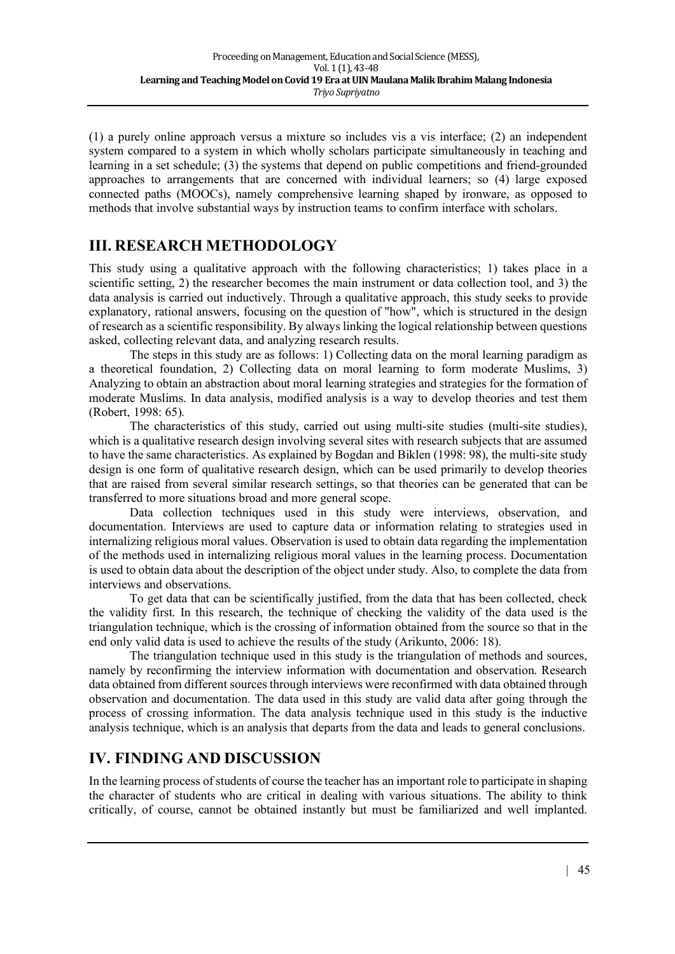(1) a purely online approach versus a mixture so includes vis a vis interface; (2) an independent system compared to a system in which wholly scholars participate simultaneously in teaching and learning in a set schedule; (3) the systems that depend on public competitions and friend-grounded approaches to arrangements that are concerned with individual learners; so (4) large exposed connected paths (MOOCs), namely comprehensive learning shaped by ironware, as opposed to methods that involve substantial ways by instruction teams to confirm interface with scholars.

## **III. RESEARCH METHODOLOGY**

This study using a qualitative approach with the following characteristics; 1) takes place in a scientific setting, 2) the researcher becomes the main instrument or data collection tool, and 3) the data analysis is carried out inductively. Through a qualitative approach, this study seeks to provide explanatory, rational answers, focusing on the question of "how", which is structured in the design of research as a scientific responsibility. By always linking the logical relationship between questions asked, collecting relevant data, and analyzing research results.

The steps in this study are as follows: 1) Collecting data on the moral learning paradigm as a theoretical foundation, 2) Collecting data on moral learning to form moderate Muslims, 3) Analyzing to obtain an abstraction about moral learning strategies and strategies for the formation of moderate Muslims. In data analysis, modified analysis is a way to develop theories and test them (Robert, 1998: 65).

The characteristics of this study, carried out using multi-site studies (multi-site studies), which is a qualitative research design involving several sites with research subjects that are assumed to have the same characteristics. As explained by Bogdan and Biklen (1998: 98), the multi-site study design is one form of qualitative research design, which can be used primarily to develop theories that are raised from several similar research settings, so that theories can be generated that can be transferred to more situations broad and more general scope.

Data collection techniques used in this study were interviews, observation, and documentation. Interviews are used to capture data or information relating to strategies used in internalizing religious moral values. Observation is used to obtain data regarding the implementation of the methods used in internalizing religious moral values in the learning process. Documentation is used to obtain data about the description of the object under study. Also, to complete the data from interviews and observations.

To get data that can be scientifically justified, from the data that has been collected, check the validity first. In this research, the technique of checking the validity of the data used is the triangulation technique, which is the crossing of information obtained from the source so that in the end only valid data is used to achieve the results of the study (Arikunto, 2006: 18).

The triangulation technique used in this study is the triangulation of methods and sources, namely by reconfirming the interview information with documentation and observation. Research data obtained from different sources through interviews were reconfirmed with data obtained through observation and documentation. The data used in this study are valid data after going through the process of crossing information. The data analysis technique used in this study is the inductive analysis technique, which is an analysis that departs from the data and leads to general conclusions.

## **IV. FINDING AND DISCUSSION**

In the learning process of students of course the teacher has an important role to participate in shaping the character of students who are critical in dealing with various situations. The ability to think critically, of course, cannot be obtained instantly but must be familiarized and well implanted.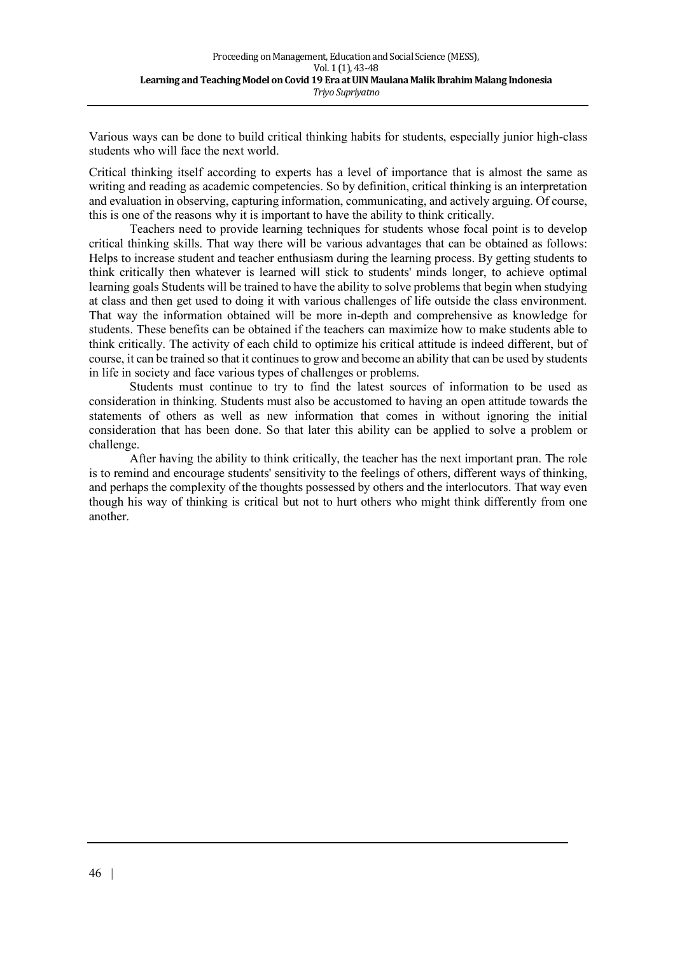Various ways can be done to build critical thinking habits for students, especially junior high-class students who will face the next world.

Critical thinking itself according to experts has a level of importance that is almost the same as writing and reading as academic competencies. So by definition, critical thinking is an interpretation and evaluation in observing, capturing information, communicating, and actively arguing. Of course, this is one of the reasons why it is important to have the ability to think critically.

Teachers need to provide learning techniques for students whose focal point is to develop critical thinking skills. That way there will be various advantages that can be obtained as follows: Helps to increase student and teacher enthusiasm during the learning process. By getting students to think critically then whatever is learned will stick to students' minds longer, to achieve optimal learning goals Students will be trained to have the ability to solve problems that begin when studying at class and then get used to doing it with various challenges of life outside the class environment. That way the information obtained will be more in-depth and comprehensive as knowledge for students. These benefits can be obtained if the teachers can maximize how to make students able to think critically. The activity of each child to optimize his critical attitude is indeed different, but of course, it can be trained so that it continues to grow and become an ability that can be used by students in life in society and face various types of challenges or problems.

Students must continue to try to find the latest sources of information to be used as consideration in thinking. Students must also be accustomed to having an open attitude towards the statements of others as well as new information that comes in without ignoring the initial consideration that has been done. So that later this ability can be applied to solve a problem or challenge.

After having the ability to think critically, the teacher has the next important pran. The role is to remind and encourage students' sensitivity to the feelings of others, different ways of thinking, and perhaps the complexity of the thoughts possessed by others and the interlocutors. That way even though his way of thinking is critical but not to hurt others who might think differently from one another.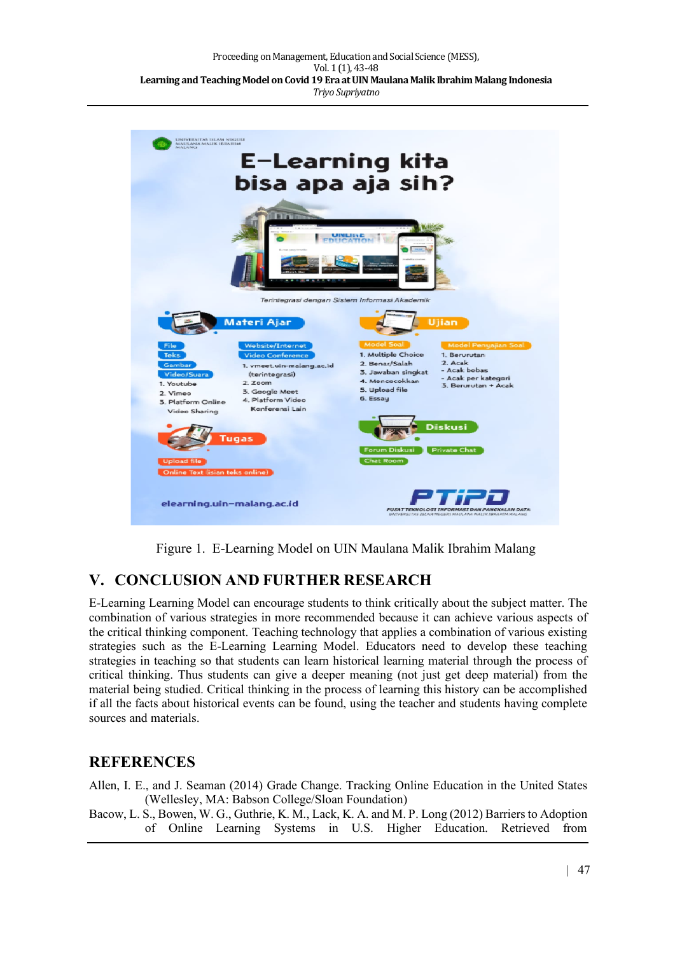

Figure 1. E-Learning Model on UIN Maulana Malik Ibrahim Malang

## **V. CONCLUSION AND FURTHER RESEARCH**

E-Learning Learning Model can encourage students to think critically about the subject matter. The combination of various strategies in more recommended because it can achieve various aspects of the critical thinking component. Teaching technology that applies a combination of various existing strategies such as the E-Learning Learning Model. Educators need to develop these teaching strategies in teaching so that students can learn historical learning material through the process of critical thinking. Thus students can give a deeper meaning (not just get deep material) from the material being studied. Critical thinking in the process of learning this history can be accomplished if all the facts about historical events can be found, using the teacher and students having complete sources and materials.

### **REFERENCES**

Allen, I. E., and J. Seaman (2014) Grade Change. Tracking Online Education in the United States (Wellesley, MA: Babson College/Sloan Foundation)

Bacow, L. S., Bowen, W. G., Guthrie, K. M., Lack, K. A. and M. P. Long (2012) Barriers to Adoption of Online Learning Systems in U.S. Higher Education. Retrieved from